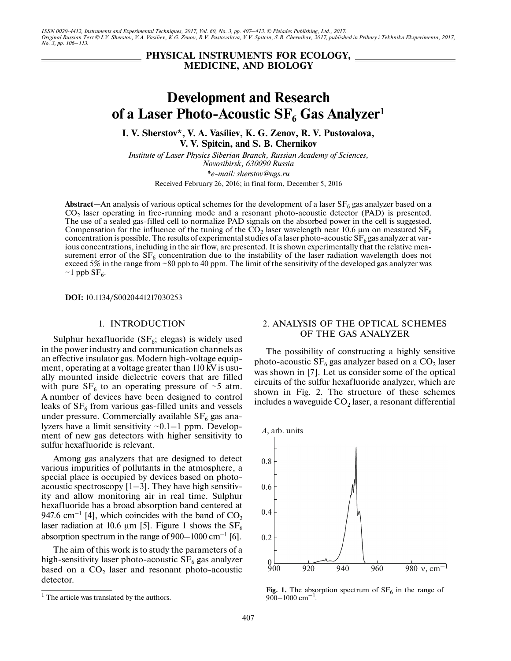*ISSN 0020-4412, Instruments and Experimental Techniques, 2017, Vol. 60, No. 3, pp. 407–413. © Pleiades Publishing, Ltd., 2017. Original Russian Text © I.V. Sherstov, V.A. Vasiliev, K.G. Zenov, R.V. Pustovalova, V.V. Spitcin, S.B. Chernikov, 2017, published in Pribory i Tekhnika Eksperimenta, 2017, No. 3, pp. 106–113.*

## **PHYSICAL INSTRUMENTS FOR ECOLOGY, MEDICINE, AND BIOLOGY**

# **Development and Research** of a Laser Photo-Acoustic SF<sub>6</sub> Gas Analyzer<sup>1</sup>

**I. V. Sherstov\*, V. A. Vasiliev, K. G. Zenov, R. V. Pustovalova, V. V. Spitcin, and S. B. Chernikov**

*Institute of Laser Physics Siberian Branch, Russian Academy of Sciences, Novosibirsk, 630090 Russia \*e-mail: sherstov@ngs.ru*

Received February 26, 2016; in final form, December 5, 2016

**Abstract—An** analysis of various optical schemes for the development of a laser  $SF<sub>6</sub>$  gas analyzer based on a CO<sub>2</sub> laser operating in free-running mode and a resonant photo-acoustic detector (PAD) is presented. The use of a sealed gas-filled cell to normalize PAD signals on the absorbed power in the cell is suggested. Compensation for the influence of the tuning of the  $CO<sub>2</sub>$  laser wavelength near 10.6 µm on measured SF<sub>6</sub> concentration is possible. The results of experimental studies of a laser photo-acoustic  $SF_6$  gas analyzer at various concentrations, including in the air flow, are presented. It is shown experimentally that the relative measurement error of the  $SF<sub>6</sub>$  concentration due to the instability of the laser radiation wavelength does not exceed 5% in the range from ~80 ppb to 40 ppm. The limit of the sensitivity of the developed gas analyzer was  $\sim$ 1 ppb SF<sub>6</sub>.

**DOI:** 10.1134/S0020441217030253

## 1. INTRODUCTION

Sulphur hexafluoride (SF $_6$ ; elegas) is widely used in the power industry and communication channels as an effective insulator gas. Modern high-voltage equipment, operating at a voltage greater than 110 kV is usually mounted inside dielectric covers that are filled with pure  $SF_6$  to an operating pressure of ~5 atm. A number of devices have been designed to control leaks of  $SF<sub>6</sub>$  from various gas-filled units and vessels under pressure. Commercially available  $SF<sub>6</sub>$  gas analyzers have a limit sensitivity  $\sim 0.1-1$  ppm. Development of new gas detectors with higher sensitivity to sulfur hexafluoride is relevant.

Among gas analyzers that are designed to detect various impurities of pollutants in the atmosphere, a special place is occupied by devices based on photoacoustic spectroscopy  $[1-3]$ . They have high sensitivity and allow monitoring air in real time. Sulphur hexafluoride has a broad absorption band centered at 947.6 cm<sup>-1</sup> [4], which coincides with the band of  $CO<sub>2</sub>$ laser radiation at 10.6  $\mu$ m [5]. Figure 1 shows the SF<sub>6</sub> absorption spectrum in the range of 900–1000 cm–1 [6].

The aim of this work is to study the parameters of a high-sensitivity laser photo-acoustic  $SF_6$  gas analyzer based on a  $CO<sub>2</sub>$  laser and resonant photo-acoustic detector.

## 2. ANALYSIS OF THE OPTICAL SCHEMES OF THE GAS ANALYZER

The possibility of constructing a highly sensitive photo-acoustic  $SF_6$  gas analyzer based on a  $CO_2$  laser was shown in [7]. Let us consider some of the optical circuits of the sulfur hexafluoride analyzer, which are shown in Fig. 2. The structure of these schemes includes a waveguide  $CO<sub>2</sub>$  laser, a resonant differential



**Fig. 1.** The absorption spectrum of  $SF_6$  in the range of 900–1000 cm<sup>-1</sup>.

 $<sup>1</sup>$  The article was translated by the authors.</sup>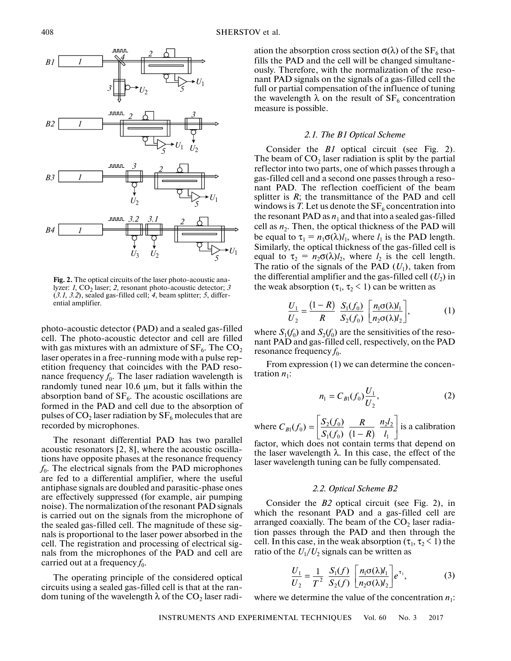

**Fig. 2.** The optical circuits of the laser photo-acoustic analyzer:  $1$ ,  $CO<sub>2</sub>$  laser;  $2$ , resonant photo-acoustic detector;  $3$ (*3.1*, *3.2*), sealed gas-filled cell; *4*, beam splitter; *5*, differential amplifier.

photo-acoustic detector (PAD) and a sealed gas-filled cell. The photo-acoustic detector and cell are filled with gas mixtures with an admixture of  $SF_6$ . The  $CO_2$ laser operates in a free-running mode with a pulse repetition frequency that coincides with the PAD resonance frequency  $f_0$ . The laser radiation wavelength is randomly tuned near 10.6 μm, but it falls within the absorption band of  $SF<sub>6</sub>$ . The acoustic oscillations are formed in the PAD and cell due to the absorption of pulses of CO<sub>2</sub> laser radiation by  $SF_6$  molecules that are recorded by microphones.

The resonant differential PAD has two parallel acoustic resonators [2, 8], where the acoustic oscillations have opposite phases at the resonance frequency  $f_0$ . The electrical signals from the PAD microphones are fed to a differential amplifier, where the useful antiphase signals are doubled and parasitic-phase ones are effectively suppressed (for example, air pumping noise). The normalization of the resonant PAD signals is carried out on the signals from the microphone of the sealed gas-filled cell. The magnitude of these signals is proportional to the laser power absorbed in the cell. The registration and processing of electrical signals from the microphones of the PAD and cell are carried out at a frequency  $f_0$ .

The operating principle of the considered optical circuits using a sealed gas-filled cell is that at the random tuning of the wavelength  $\lambda$  of the CO<sub>2</sub> laser radiation the absorption cross section  $\sigma(\lambda)$  of the SF<sub>6</sub> that fills the PAD and the cell will be changed simultaneously. Therefore, with the normalization of the resonant PAD signals on the signals of a gas-filled cell the full or partial compensation of the influence of tuning the wavelength  $\lambda$  on the result of  $SF_6$  concentration measure is possible.

## *2.1. The B1 Optical Scheme*

Consider the *B1* optical circuit (see Fig. 2). The beam of  $CO<sub>2</sub>$  laser radiation is split by the partial reflector into two parts, one of which passes through a gas-filled cell and a second one passes through a resonant PAD. The reflection coefficient of the beam splitter is *R*; the transmittance of the PAD and cell windows is *T*. Let us denote the  $SF<sub>6</sub>$  concentration into the resonant PAD as  $n_1$  and that into a sealed gas-filled cell as  $n_2$ . Then, the optical thickness of the PAD will be equal to  $\tau_1 = n_1 \sigma(\lambda) l_1$ , where  $l_1$  is the PAD length. Similarly, the optical thickness of the gas-filled cell is equal to  $\tau_2 = n_2 \sigma(\lambda) l_2$ , where  $l_2$  is the cell length. The ratio of the signals of the PAD  $(U_1)$ , taken from the differential amplifier and the gas-filled cell  $(U_2)$  in the weak absorption ( $\tau_1$ ,  $\tau_2$  < 1) can be written as

$$
\frac{U_1}{U_2} = \frac{(1-R)}{R} \frac{S_1(f_0)}{S_2(f_0)} \left[ \frac{n_1 \sigma(\lambda) l_1}{n_2 \sigma(\lambda) l_2} \right],
$$
 (1)

where  $S_1(f_0)$  and  $S_2(f_0)$  are the sensitivities of the resonant PAD and gas-filled cell, respectively, on the PAD resonance frequency  $f_0$ .

From expression (1) we can determine the concentration  $n_1$ :

$$
n_1 = C_{B1}(f_0) \frac{U_1}{U_2},
$$
 (2)

where  $C_{B}(f_0) = \left|\frac{32(y_0)}{x_0}\right| \frac{R}{(x_0 - x_0)^2}$  is a calibration  $n_1(f_0) = \left[ \frac{S_2(f_0)}{S_1(f_0)} \frac{R}{(1-R)} \frac{n_2 l_2}{l_1} \right]$  $C_{B}(f_0) = \begin{bmatrix} \frac{S_2(f_0)}{S_1(f_0)} & \frac{R}{(1-R)} & \frac{n_2l_0}{l_1} \end{bmatrix}$ 

factor, which does not contain terms that depend on the laser wavelength  $\lambda$ . In this case, the effect of the laser wavelength tuning can be fully compensated.

#### *2.2. Optical Scheme B2*

Consider the *B2* optical circuit (see Fig. 2), in which the resonant PAD and a gas-filled cell are arranged coaxially. The beam of the  $CO<sub>2</sub>$  laser radiation passes through the PAD and then through the cell. In this case, in the weak absorption ( $\tau_1$ ,  $\tau_2$  < 1) the ratio of the  $U_1/U_2$  signals can be written as

$$
\frac{U_1}{U_2} = \frac{1}{T^2} \frac{S_1(f)}{S_2(f)} \left[ \frac{n_1 \sigma(\lambda) l_1}{n_2 \sigma(\lambda) l_2} \right] e^{\tau_1},
$$
(3)

where we determine the value of the concentration  $n_1$ :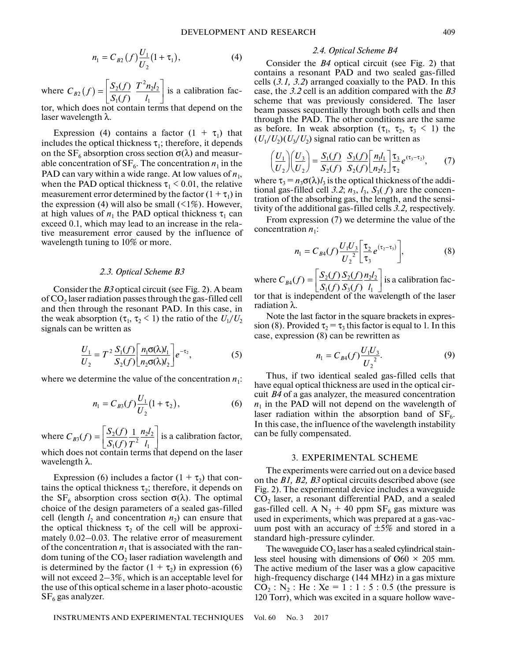where  $C_{B2}(f) = \frac{|S_2(f)|}{|S_1|} \frac{I - n_2 i_2}{I}$  is a calibration factor, which does not contain terms that depend on the  $\mathcal{L}_2(f) = \left[ \frac{S_2(f)}{S_1(f)} \frac{T^2 n_2 l_2}{l_1} \right]$  $1 (J)$   $l_1$  $(f)$  $C_{B2}(f) = \frac{S_2(f)}{S_1(f)} \frac{T^2 n_2 l}{l_1}$ 

laser wavelength λ.

Expression (4) contains a factor  $(1 + \tau_1)$  that includes the optical thickness  $\tau_1$ ; therefore, it depends on the  $SF_6$  absorption cross section  $\sigma(\lambda)$  and measurable concentration of  $SF_6$ . The concentration  $n_1$  in the PAD can vary within a wide range. At low values of  $n_1$ , when the PAD optical thickness  $\tau_1$  < 0.01, the relative measurement error determined by the factor  $(1 + \tau_1)$  in the expression (4) will also be small  $(1\%)$ . However, at high values of  $n_1$  the PAD optical thickness  $\tau_1$  can exceed 0.1, which may lead to an increase in the relative measurement error caused by the influence of wavelength tuning to 10% or more.

## *2.3. Optical Scheme B3*

Consider the *B3* optical circuit (see Fig. 2). A beam of  $CO<sub>2</sub>$  laser radiation passes through the gas-filled cell and then through the resonant PAD. In this case, in the weak absorption  $(\tau_1, \tau_2 \leq 1)$  the ratio of the  $U_1/U_2$ signals can be written as

$$
\frac{U_1}{U_2} = T^2 \frac{S_1(f)}{S_2(f)} \left[ \frac{n_1 \sigma(\lambda) l_1}{n_2 \sigma(\lambda) l_2} \right] e^{-\tau_2},\tag{5}
$$

where we determine the value of the concentration  $n_1$ :

$$
n_1 = C_{B3}(f)\frac{U_1}{U_2}(1+\tau_2),
$$
\t(6)

where  $C_{B3}(f) = \left[ \frac{S_2(f)}{S_1(f)} \frac{1}{T^2} \frac{n_2 l_2}{l_1} \right]$  is a calibration factor, which does not contain terms that depend on the laser wavelength λ.

Expression (6) includes a factor  $(1 + \tau_2)$  that contains the optical thickness  $\tau_2$ ; therefore, it depends on the  $SF_6$  absorption cross section  $\sigma(\lambda)$ . The optimal choice of the design parameters of a sealed gas-filled cell (length  $l_2$  and concentration  $n_2$ ) can ensure that the optical thickness  $\tau_2$  of the cell will be approximately 0.02–0.03. The relative error of measurement of the concentration  $n_1$  that is associated with the random tuning of the  $CO<sub>2</sub>$  laser radiation wavelength and is determined by the factor  $(1 + \tau_2)$  in expression (6) will not exceed 2–3%, which is an acceptable level for the use of this optical scheme in a laser photo-acoustic  $SF<sub>6</sub>$  gas analyzer.

#### *2.4. Optical Scheme B4*

Consider the *B4* optical circuit (see Fig. 2) that contains a resonant PAD and two sealed gas-filled cells (*3.1, 3.2*) arranged coaxially to the PAD. In this case, the *3.2* cell is an addition compared with the *B3* scheme that was previously considered. The laser beam passes sequentially through both cells and then through the PAD. The other conditions are the same as before. In weak absorption  $(\tau_1, \tau_2, \tau_3 \leq 1)$  the  $(U_1/U_2)(U_3/U_2)$  signal ratio can be written as

$$
\left(\frac{U_1}{U_2}\right)\left(\frac{U_3}{U_2}\right) = \frac{S_1(f)}{S_2(f)} \frac{S_3(f)}{S_2(f)} \left[\frac{n_1 l_1}{n_2 l_2}\right] \frac{\tau_3}{\tau_2} e^{(\tau_3 - \tau_2)},\tag{7}
$$

where  $\tau_3 = n_3 \sigma(\lambda) l_3$  is the optical thickness of the additional gas-filled cell 3.2;  $n_3$ ,  $l_3$ ,  $S_3(f)$  are the concentration of the absorbing gas, the length, and the sensitivity of the additional gas-filled cells *3.2,* respectively.

From expression (7) we determine the value of the concentration  $n_1$ :

$$
n_1 = C_{B4}(f) \frac{U_1 U_3}{U_2^2} \left[ \frac{\tau_2}{\tau_3} e^{(\tau_2 - \tau_3)} \right],
$$
 (8)

where  $C_{B4}(f) = \left|\frac{\partial_2(y)}{\partial_1(x)}\right| \frac{\partial_2(y)}{\partial_2(x)} \frac{\partial_1(y)}{\partial_2(x)}\right|$  is a calibration factor that is independent of the wavelength of the laser  $_{4}(f) = \left[ \frac{S_{2}(f)}{S_{1}(f)} \frac{S_{2}(f)}{S_{3}(f)} \frac{n_{2}l_{2}}{l_{1}} \right]$  $C_{B4}(f) = \left[ \frac{S_2(f)}{S_1(f)} \frac{S_2(f)}{S_3(f)} \frac{n_2l}{l_1} \right]$ 

radiation λ.

Note the last factor in the square brackets in expression (8). Provided  $\tau_2 = \tau_3$  this factor is equal to 1. In this case, expression (8) can be rewritten as

$$
n_1 = C_{B4}(f) \frac{U_1 U_3}{U_2^2}.
$$
 (9)

Thus, if two identical sealed gas-filled cells that have equal optical thickness are used in the optical circuit *B4* of a gas analyzer, the measured concentration  $n_1$  in the PAD will not depend on the wavelength of laser radiation within the absorption band of  $SF<sub>6</sub>$ . In this case, the influence of the wavelength instability can be fully compensated.

#### 3. EXPERIMENTAL SCHEME

The experiments were carried out on a device based on the *B1, B2, B3* optical circuits described above (see Fig. 2). The experimental device includes a waveguide  $CO<sub>2</sub>$  laser, a resonant differential PAD, and a sealed gas-filled cell. A  $N_2$  + 40 ppm SF<sub>6</sub> gas mixture was used in experiments, which was prepared at a gas-vacuum post with an accuracy of  $\pm 5\%$  and stored in a standard high-pressure cylinder.

The waveguide  $CO<sub>2</sub>$  laser has a sealed cylindrical stainless steel housing with dimensions of  $\varnothing 60 \times 205$  mm. The active medium of the laser was a glow capacitive high-frequency discharge (144 MHz) in a gas mixture  $CO_2$ : N<sub>2</sub>: He : Xe = 1 : 1 : 5 : 0.5 (the pressure is 120 Torr), which was excited in a square hollow wave-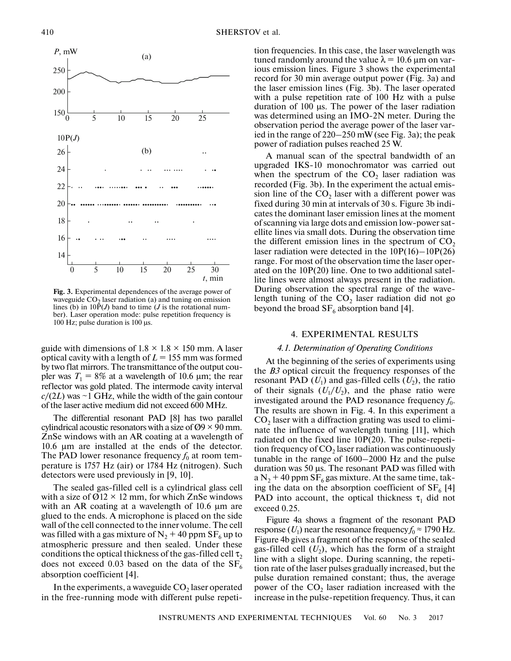

**Fig. 3.** Experimental dependences of the average power of waveguide  $CO<sub>2</sub>$  laser radiation (a) and tuning on emission lines (b) in  $10\bar{P}(J)$  band to time (*J* is the rotational number). Laser operation mode: pulse repetition frequency is 100 Hz; pulse duration is 100 μs.

guide with dimensions of  $1.8 \times 1.8 \times 150$  mm. A laser optical cavity with a length of  $L = 155$  mm was formed by two flat mirrors. The transmittance of the output coupler was  $T_1 = 8\%$  at a wavelength of 10.6  $\mu$ m; the rear reflector was gold plated. The intermode cavity interval  $c/(2L)$  was  $\sim$ 1 GHz, while the width of the gain contour of the laser active medium did not exceed 600 MHz.

The differential resonant PAD [8] has two parallel cylindrical acoustic resonators with a size of  $\varnothing$ 9 × 90 mm. ZnSe windows with an AR coating at a wavelength of 10.6 μm are installed at the ends of the detector. The PAD lower resonance frequency  $f_0$  at room temperature is 1757 Hz (air) or 1784 Hz (nitrogen). Such detectors were used previously in [9, 10].

The sealed gas-filled cell is a cylindrical glass cell with a size of  $\varnothing$ 12 × 12 mm, for which ZnSe windows with an AR coating at a wavelength of 10.6 μm are glued to the ends. A microphone is placed on the side wall of the cell connected to the inner volume. The cell was filled with a gas mixture of  $N_2$  + 40 ppm SF<sub>6</sub> up to atmospheric pressure and then sealed. Under these conditions the optical thickness of the gas-filled cell  $\tau_2$ does not exceed 0.03 based on the data of the  $SF_6$ absorption coefficient [4].

In the experiments, a waveguide  $CO<sub>2</sub>$  laser operated in the free-running mode with different pulse repetition frequencies. In this case, the laser wavelength was tuned randomly around the value  $\lambda = 10.6$  μm on various emission lines. Figure 3 shows the experimental record for 30 min average output power (Fig. 3a) and the laser emission lines (Fig. 3b). The laser operated with a pulse repetition rate of 100 Hz with a pulse duration of 100 μs. The power of the laser radiation was determined using an IMO-2N meter. During the observation period the average power of the laser varied in the range of 220–250 mW (see Fig. 3a); the peak power of radiation pulses reached 25 W.

A manual scan of the spectral bandwidth of an upgraded IKS-10 monochromator was carried out when the spectrum of the  $CO<sub>2</sub>$  laser radiation was recorded (Fig. 3b). In the experiment the actual emission line of the  $CO<sub>2</sub>$  laser with a different power was fixed during 30 min at intervals of 30 s. Figure 3b indicates the dominant laser emission lines at the moment of scanning via large dots and emission low-power satellite lines via small dots. During the observation time the different emission lines in the spectrum of  $CO<sub>2</sub>$ laser radiation were detected in the 10P(16)–10P(26) range. For most of the observation time the laser operated on the 10P(20) line. One to two additional satellite lines were almost always present in the radiation. During observation the spectral range of the wavelength tuning of the  $CO<sub>2</sub>$  laser radiation did not go beyond the broad  $SF_6$  absorption band [4].

## 4. EXPERIMENTAL RESULTS

## *4.1. Determination of Operating Conditions*

At the beginning of the series of experiments using the *B3* optical circuit the frequency responses of the resonant PAD  $(U_1)$  and gas-filled cells  $(U_2)$ , the ratio of their signals  $(U_1/U_2)$ , and the phase ratio were investigated around the PAD resonance frequency  $f_0$ . The results are shown in Fig. 4. In this experiment a  $CO<sub>2</sub>$  laser with a diffraction grating was used to eliminate the influence of wavelength tuning [11], which radiated on the fixed line 10P(20). The pulse-repetition frequency of  $CO<sub>2</sub>$  laser radiation was continuously tunable in the range of 1600–2000 Hz and the pulse duration was 50 μs. The resonant PAD was filled with a  $N_2$  + 40 ppm SF<sub>6</sub> gas mixture. At the same time, taking the data on the absorption coefficient of  $SF_6$  [4] PAD into account, the optical thickness  $\tau_1$  did not exceed 0.25.

Figure 4a shows a fragment of the resonant PAD response  $(U_1)$  near the resonance frequency  $f_0 \approx 1790$  Hz. Figure 4b gives a fragment of the response of the sealed gas-filled cell  $(U_2)$ , which has the form of a straight line with a slight slope. During scanning, the repetition rate of the laser pulses gradually increased, but the pulse duration remained constant; thus, the average power of the  $CO<sub>2</sub>$  laser radiation increased with the increase in the pulse-repetition frequency. Thus, it can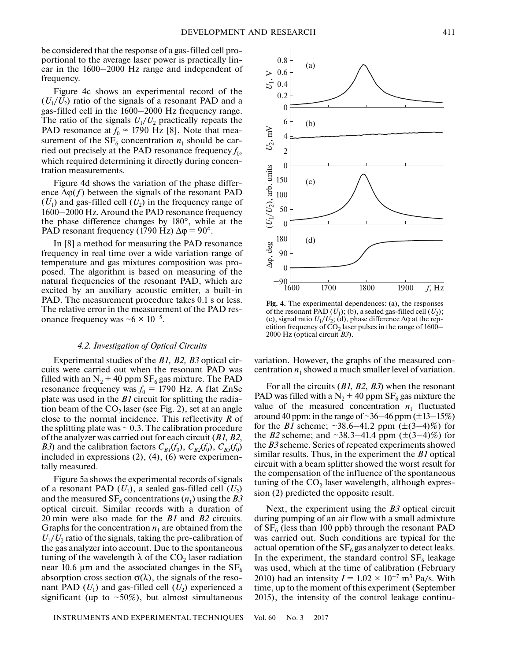be considered that the response of a gas-filled cell proportional to the average laser power is practically linear in the 1600–2000 Hz range and independent of frequency.

Figure 4c shows an experimental record of the  $(U_1/U_2)$  ratio of the signals of a resonant PAD and a gas-filled cell in the 1600–2000 Hz frequency range. The ratio of the signals  $U_1/U_2$  practically repeats the PAD resonance at  $f_0 \approx 1790$  Hz [8]. Note that measurement of the  $SF_6$  concentration  $n_1$  should be carried out precisely at the PAD resonance frequency  $f_0$ , which required determining it directly during concentration measurements.

Figure 4d shows the variation of the phase difference  $\Delta \varphi(f)$  between the signals of the resonant PAD  $(U_1)$  and gas-filled cell  $(U_2)$  in the frequency range of 1600–2000 Hz. Around the PAD resonance frequency the phase difference changes by 180°, while at the PAD resonant frequency (1790 Hz)  $\Delta \phi = 90^{\circ}$ .

In [8] a method for measuring the PAD resonance frequency in real time over a wide variation range of temperature and gas mixtures composition was proposed. The algorithm is based on measuring of the natural frequencies of the resonant PAD, which are excited by an auxiliary acoustic emitter, a built-in PAD. The measurement procedure takes 0.1 s or less. The relative error in the measurement of the PAD resonance frequency was  $~6 \times 10^{-5}$ .

#### *4.2. Investigation of Optical Circuits*

Experimental studies of the *B1, B2, B3* optical circuits were carried out when the resonant PAD was filled with an  $N_2$  + 40 ppm SF<sub>6</sub> gas mixture. The PAD resonance frequency was  $f_0 = 1790$  Hz. A flat ZnSe plate was used in the *B1* circuit for splitting the radiation beam of the  $CO_2$  laser (see Fig. 2), set at an angle close to the normal incidence. This reflectivity *R* of the splitting plate was  $\sim 0.3$ . The calibration procedure of the analyzer was carried out for each circuit (*B1*, *B2*, *B3*) and the calibration factors  $C_{BI}(f_0)$ ,  $C_{B2}(f_0)$ ,  $C_{B3}(f_0)$ included in expressions (2), (4), (6) were experimentally measured.

Figure 5a shows the experimental records of signals of a resonant PAD  $(U_1)$ , a sealed gas-filled cell  $(U_2)$ and the measured  $SF_6$  concentrations  $(n_1)$  using the *B3* optical circuit. Similar records with a duration of 20 min were also made for the *B1* and *B2* circuits. Graphs for the concentration  $n_1$  are obtained from the  $U_1/U_2$  ratio of the signals, taking the pre-calibration of the gas analyzer into account. Due to the spontaneous tuning of the wavelength  $\lambda$  of the CO<sub>2</sub> laser radiation near 10.6 μm and the associated changes in the  $SF_6$ absorption cross section  $\sigma(\lambda)$ , the signals of the resonant PAD  $(U_1)$  and gas-filled cell  $(U_2)$  experienced a significant (up to  $\sim 50\%$ ), but almost simultaneous



**Fig. 4.** The experimental dependences: (a), the responses of the resonant PAD  $(U_1)$ ; (b), a sealed gas-filled cell  $(U_2)$ ; (c), signal ratio  $U_1/U_2$ ; (d), phase difference  $\Delta \varphi$  at the repetition frequency of  $CO<sub>2</sub>$  laser pulses in the range of 1600– 2000 Hz (optical circuit *B3*).

variation. However, the graphs of the measured concentration  $n_1$  showed a much smaller level of variation.

For all the circuits (*B1*, *B2*, *B3*) when the resonant PAD was filled with a  $N_2$  + 40 ppm SF<sub>6</sub> gas mixture the value of the measured concentration  $n_1$  fluctuated around 40 ppm: in the range of  $\sim$ 36–46 ppm ( $\pm$ 13–15%) for the *B1* scheme;  $\sim 38.6 - 41.2$  ppm  $(\pm (3 - 4)\%)$  for the *B2* scheme; and  $\sim 38.3 - 41.4$  ppm ( $\pm (3 - 4)\%$ ) for the *B3* scheme. Series of repeated experiments showed similar results. Thus, in the experiment the *B1* optical circuit with a beam splitter showed the worst result for the compensation of the influence of the spontaneous tuning of the  $CO<sub>2</sub>$  laser wavelength, although expression (2) predicted the opposite result.

Next, the experiment using the *B3* optical circuit during pumping of an air flow with a small admixture of  $SF_6$  (less than 100 ppb) through the resonant PAD was carried out. Such conditions are typical for the actual operation of the  $SF<sub>6</sub>$  gas analyzer to detect leaks. In the experiment, the standard control  $SF<sub>6</sub>$  leakage was used, which at the time of calibration (February 2010) had an intensity  $I = 1.02 \times 10^{-7}$  m<sup>3</sup> Pa/s. With time, up to the moment of this experiment (September 2015), the intensity of the control leakage continu-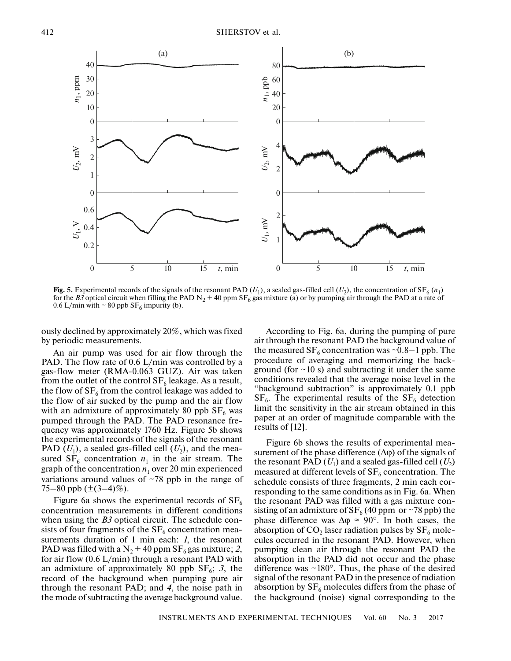

**Fig. 5.** Experimental records of the signals of the resonant PAD  $(U_1)$ , a sealed gas-filled cell  $(U_2)$ , the concentration of SF<sub>6</sub>  $(n_1)$ for the *B3* optical circuit when filling the PAD N<sub>2</sub> + 40 ppm SF<sub>6</sub> gas mixture (a) or by pumping air through the PAD at a rate of 0.6 L/min with  $\sim$  80 ppb SF<sub>6</sub> impurity (b).

ously declined by approximately 20%, which was fixed by periodic measurements.

An air pump was used for air flow through the PAD. The flow rate of 0.6 L/min was controlled by a gas-flow meter (RMA-0.063 GUZ). Air was taken from the outlet of the control  $SF_6$  leakage. As a result, the flow of  $SF_6$  from the control leakage was added to the flow of air sucked by the pump and the air flow with an admixture of approximately 80 ppb  $SF<sub>6</sub>$  was pumped through the PAD. The PAD resonance frequency was approximately 1760 Hz. Figure 5b shows the experimental records of the signals of the resonant PAD  $(U_1)$ , a sealed gas-filled cell  $(U_2)$ , and the measured  $SF_6$  concentration  $n_1$  in the air stream. The graph of the concentration  $n_1$  over 20 min experienced variations around values of  $\sim$ 78 ppb in the range of 75–80 ppb  $(\pm(3-4)\%)$ .

Figure 6a shows the experimental records of  $SF<sub>6</sub>$ concentration measurements in different conditions when using the *B3* optical circuit. The schedule consists of four fragments of the  $SF_6$  concentration measurements duration of 1 min each: *1*, the resonant PAD was filled with a  $N_2$  + 40 ppm SF<sub>6</sub> gas mixture; 2, for air flow (0.6 L/min) through a resonant PAD with an admixture of approximately 80 ppb  $SF_6$ ; 3, the record of the background when pumping pure air through the resonant PAD; and *4*, the noise path in the mode of subtracting the average background value.

According to Fig. 6a, during the pumping of pure air through the resonant PAD the background value of the measured  $SF_6$  concentration was ~0.8–1 ppb. The procedure of averaging and memorizing the background (for  $\sim$ 10 s) and subtracting it under the same conditions revealed that the average noise level in the "background subtraction" is approximately 0.1 ppb  $SF<sub>6</sub>$ . The experimental results of the  $SF<sub>6</sub>$  detection limit the sensitivity in the air stream obtained in this paper at an order of magnitude comparable with the results of [12].

Figure 6b shows the results of experimental measurement of the phase difference  $(\Delta \varphi)$  of the signals of the resonant PAD  $(U_1)$  and a sealed gas-filled cell  $(U_2)$ measured at different levels of  $SF_6$  concentration. The schedule consists of three fragments, 2 min each corresponding to the same conditions as in Fig. 6a. When the resonant PAD was filled with a gas mixture consisting of an admixture of  $SF_6$  (40 ppm or ~78 ppb) the phase difference was  $\Delta \varphi \approx 90^\circ$ . In both cases, the absorption of  $CO<sub>2</sub>$  laser radiation pulses by  $SF<sub>6</sub>$  molecules occurred in the resonant PAD. However, when pumping clean air through the resonant PAD the absorption in the PAD did not occur and the phase difference was  $\sim 180^\circ$ . Thus, the phase of the desired signal of the resonant PAD in the presence of radiation absorption by  $SF_6$  molecules differs from the phase of the background (noise) signal corresponding to the